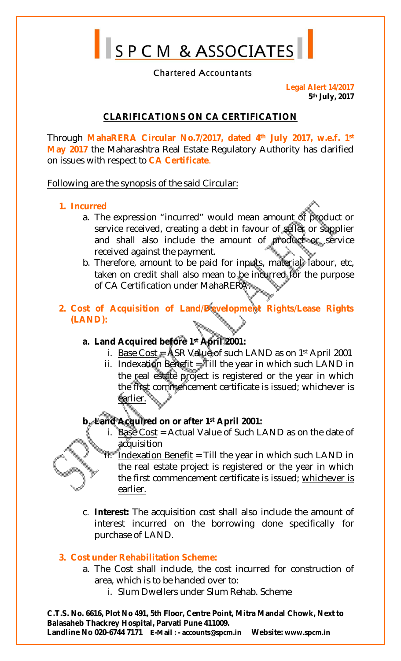SPCM & ASSOCIATES

#### **Chartered Accountants**

**Legal Alert 14/2017 5 th July, 2017**

# **CLARIFICATIONS ON CA CERTIFICATION**

Through **MahaRERA Circular No.7/2017, dated 4th July 2017, w.e.f. 1st May 2017** the Maharashtra Real Estate Regulatory Authority has clarified on issues with respect to **CA Certificate**.

Following are the synopsis of the said Circular:

#### **1. Incurred**

- a. The expression "incurred" would mean amount of product or service received, creating a debt in favour of seller or supplier and shall also include the amount of product or service received against the payment.
- b. Therefore, amount to be paid for inputs, material labour, etc, taken on credit shall also mean to be incurred for the purpose of CA Certification under MahaRERA.
- **2. Cost of Acquisition of Land/Development Rights/Lease Rights (LAND):**

## **a. Land Acquired before 1st April 2001:**

- i. Base Cost  $=$  ASR Value of such LAND as on 1st April 2001
- ii. Indexation Benefit  $\frac{1}{2}$  ill the year in which such LAND in the real estate project is registered or the year in which the first commencement certificate is issued; whichever is earlier.

## **b. Land Acquired on or after 1st April 2001:**

- i. Base Cost = Actual Value of Such LAND as on the date of acquisition
- $ii.$  Indexation Benefit = Till the year in which such LAND in the real estate project is registered or the year in which the first commencement certificate is issued; whichever is earlier.
- c. **Interest:** The acquisition cost shall also include the amount of interest incurred on the borrowing done specifically for purchase of LAND.

## **3. Cost under Rehabilitation Scheme:**

- a. The Cost shall include, the cost incurred for construction of area, which is to be handed over to:
	- i. Slum Dwellers under Slum Rehab. Scheme

**C.T.S. No. 6616, Plot No 491, 5th Floor, Centre Point, Mitra Mandal Chowk, Next to Balasaheb Thackrey Hospital, Parvati Pune 411009.** 

**Landline No 020-6744 7171 E-Mail : - [accounts@spcm.in](mailto:accounts@spcm.in) Website: [www.spcm.in](http://www.spcm.in)**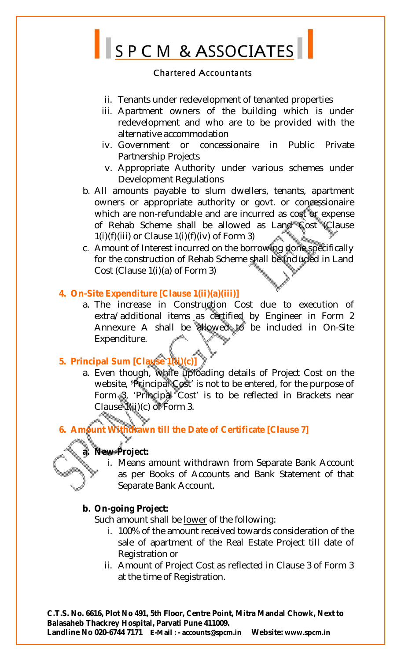

- ii. Tenants under redevelopment of tenanted properties
- iii. Apartment owners of the building which is under redevelopment and who are to be provided with the alternative accommodation
- iv. Government or concessionaire in Public Private Partnership Projects
- v. Appropriate Authority under various schemes under Development Regulations
- b. All amounts payable to slum dwellers, tenants, apartment owners or appropriate authority or govt. or concessionaire which are non-refundable and are incurred as cost or expense of Rehab Scheme shall be allowed as Land Cost (Clause  $1(i)(f)(iii)$  or Clause  $1(i)(f)(iv)$  of Form 3)
- c. Amount of Interest incurred on the borrowing done specifically for the construction of Rehab Scheme shall be included in Land Cost (Clause 1(i)(a) of Form 3)

## **4. On-Site Expenditure [Clause 1(ii)(a)(iii)]**

a. The increase in Construction Cost due to execution of extra/additional items as certified by Engineer in Form 2 Annexure A shall be allowed to be included in On-Site Expenditure.

# **5. Principal Sum [Clause 1(ii)(c)]**

a. Even though, while uploading details of Project Cost on the website, 'Principal Cost' is not to be entered, for the purpose of Form 3, 'Principal Cost' is to be reflected in Brackets near Clause 1(ii)(c) of Form 3.

# **6. Amount Withdrawn till the Date of Certificate [Clause 7]**

## **a. New-Project:**

i. Means amount withdrawn from Separate Bank Account as per Books of Accounts and Bank Statement of that Separate Bank Account.

## **b. On-going Project:**

Such amount shall be lower of the following:

- i. 100% of the amount received towards consideration of the sale of apartment of the Real Estate Project till date of Registration or
- ii. Amount of Project Cost as reflected in Clause 3 of Form 3 at the time of Registration.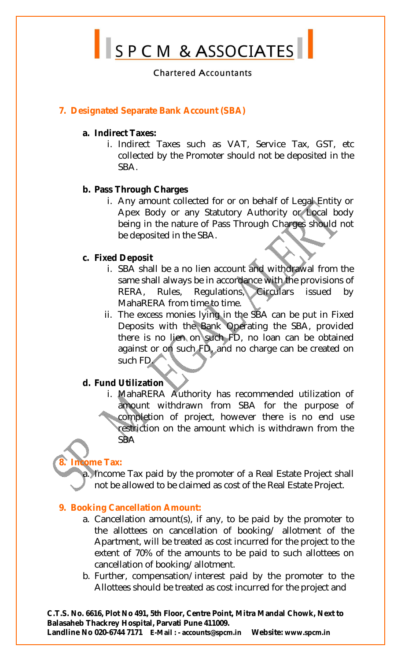SPCM & ASSOCIATES

## **7. Designated Separate Bank Account (SBA)**

#### **a. Indirect Taxes:**

i. Indirect Taxes such as VAT, Service Tax, GST, etc collected by the Promoter should not be deposited in the SBA.

#### **b. Pass Through Charges**

i. Any amount collected for or on behalf of Legal Entity or Apex Body or any Statutory Authority or Local body being in the nature of Pass Through Charges should not be deposited in the SBA.

#### **c. Fixed Deposit**

- i. SBA shall be a no lien account and withdrawal from the same shall always be in accordance with the provisions of RERA, Rules, Regulations, Circulars issued by MahaRERA from time to time.
- ii. The excess monies lying in the SBA can be put in Fixed Deposits with the Bank Operating the SBA, provided there is no lien on such FD, no loan can be obtained against or on such FD, and no charge can be created on such FD

## **d. Fund Utilization**

i. MahaRERA Authority has recommended utilization of amount withdrawn from SBA for the purpose of completion of project, however there is no end use restriction on the amount which is withdrawn from the SBA

# **8. Income Tax:**

Income Tax paid by the promoter of a Real Estate Project shall not be allowed to be claimed as cost of the Real Estate Project.

## **9. Booking Cancellation Amount:**

- a. Cancellation amount(s), if any, to be paid by the promoter to the allottees on cancellation of booking/ allotment of the Apartment, will be treated as cost incurred for the project to the extent of 70% of the amounts to be paid to such allottees on cancellation of booking/allotment.
- b. Further, compensation/interest paid by the promoter to the Allottees should be treated as cost incurred for the project and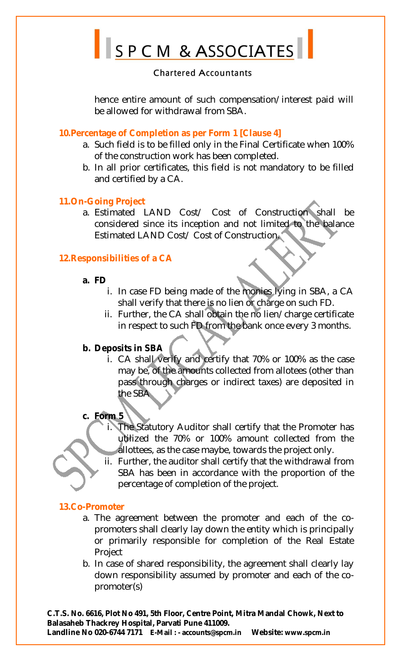

hence entire amount of such compensation/interest paid will be allowed for withdrawal from SBA.

#### **10.Percentage of Completion as per Form 1 [Clause 4]**

- a. Such field is to be filled only in the Final Certificate when 100% of the construction work has been completed.
- b. In all prior certificates, this field is not mandatory to be filled and certified by a CA.

## **11.On-Going Project**

a. Estimated LAND Cost/ Cost of Construction shall be considered since its inception and not limited to the balance Estimated LAND Cost/ Cost of Construction.

## **12.Responsibilities of a CA**

#### **a. FD**

- i. In case FD being made of the monies lying in SBA, a CA shall verify that there is no lien or charge on such FD.
- ii. Further, the CA shall obtain the no lien/charge certificate in respect to such FD from the bank once every 3 months.

## **b. Deposits in SBA**

i. CA shall verify and certify that 70% or 100% as the case may be, of the amounts collected from allotees (other than pass through charges or indirect taxes) are deposited in the SBA

## **c. Form 5**

- The Statutory Auditor shall certify that the Promoter has utilized the 70% or 100% amount collected from the allottees, as the case maybe, towards the project only.
- ii. Further, the auditor shall certify that the withdrawal from SBA has been in accordance with the proportion of the percentage of completion of the project.

## **13.Co-Promoter**

- a. The agreement between the promoter and each of the copromoters shall clearly lay down the entity which is principally or primarily responsible for completion of the Real Estate Project
- b. In case of shared responsibility, the agreement shall clearly lay down responsibility assumed by promoter and each of the copromoter(s)